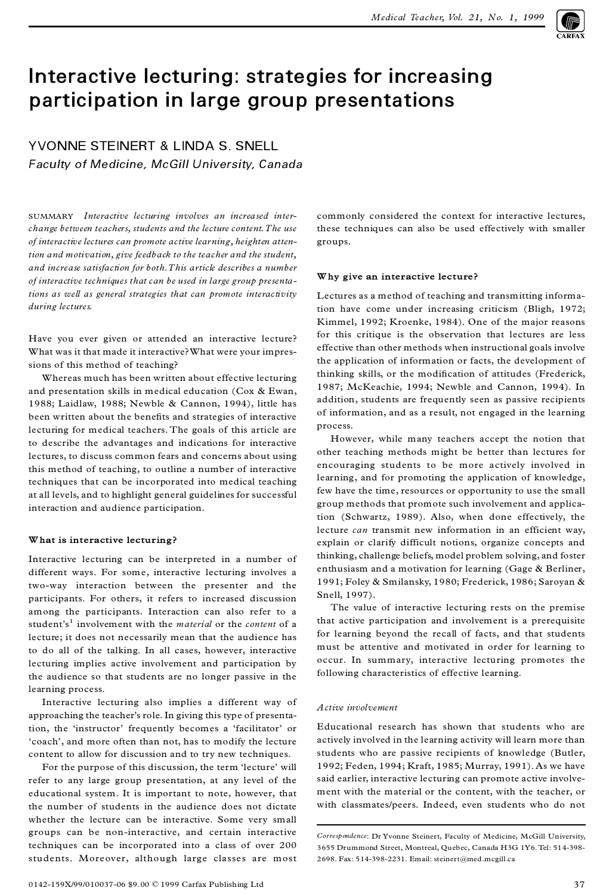

# **Interactive lecturing: strategies for increasing participation in large group presentations**

# YVONNE STEINERT & LINDA S. SNELL *Faculty of Medicine, McGill University, Canada*

SUMMARY *Interactive lecturing involves an increased interchange between teachers, students and the lecture content.The use of interactive lectures can promote active learning, heighten attention and motivation, give feedback to the teacher and the student, and increase satisfaction for both.This article describes a number of interactive techniques that can be used in large group presentations as well as general strategies that can promote interactivity during lectures.*

Have you ever given or attended an interactive lecture? What was it that made it interactive?What were your impressions of this method of teaching?

Whereas much has been written about effective lecturing and presentation skills in medical education (Cox & Ewan, 1988; Laidlaw, 1988; Newble & Cannon, 1994), little has been written about the benefits and strategies of interactive lecturing for medical teachers. The goals of this article are to describe the advantages and indications for interactive lectures, to discuss common fears and concerns about using this method of teaching, to outline a number of interactive techniques that can be incorporated into medical teaching at all levels, and to highlight general guidelines for successful interaction and audience participation.

# **What is interactive lecturing?**

Interactive lecturing can be interpreted in a number of different ways. For some, interactive lecturing involves a two-way interaction between the presenter and the participants. For others, it refers to increased discussion among the participants. Interaction can also refer to a student's 1 involvement with the *material* or the *content* of a lecture; it does not necessarily mean that the audience has to do all of the talking. In all cases, however, interactive lecturing implies active involvement and participation by the audience so that students are no longer passive in the learning process.

Interactive lecturing also implies a different way of approaching the teacher's role. In giving this type of presentation, the 'instructor' frequently becomes a 'facilitator' or 'coach', and more often than not, has to modify the lecture content to allow for discussion and to try new techniques.

For the purpose of this discussion, the term 'lecture' will refer to any large group presentation, at any level of the educational system. It is important to note, however, that the number of students in the audience does not dictate whether the lecture can be interactive. Some very small groups can be non-interactive, and certain interactive techniques can be incorporated into a class of over 200 students. Moreover, although large classes are most commonly considered the context for interactive lectures, these techniques can also be used effectively with smaller groups.

#### **Why give an interactive lecture?**

Lectures as a method of teaching and transmitting information have come under increasing criticism (Bligh, 1972; Kimmel, 1992; Kroenke, 1984). One of the major reasons for this critique is the observation that lectures are less effective than other methods when instructional goals involve the application of information or facts, the development of thinking skills, or the modification of attitudes (Frederick, 1987; McKeachie, 1994; Newble and Cannon, 1994). In addition, students are frequently seen as passive recipients of information, and as a result, not engaged in the learning process.

However, while many teachers accept the notion that other teaching methods might be better than lectures for encouraging students to be more actively involved in learning, and for promoting the application of knowledge, few have the time, resources or opportunity to use the small group methods that promote such involvement and application (Schwartz, 1989). Also, when done effectively, the lecture *can* transmit new information in an efficient way, explain or clarify difficult notions, organize concepts and thinking, challenge beliefs, model problem solving, and foster enthusiasm and a motivation for learning (Gage & Berliner, 1991; Foley & Smilansky, 1980; Frederick, 1986; Saroyan & Snell, 1997).

The value of interactive lecturing rests on the premise that active participation and involvement is a prerequisite for learning beyond the recall of facts, and that students must be attentive and motivated in order for learning to occur. In summary, interactive lecturing promotes the following characteristics of effective learning.

# *Active involvement*

Educational research has shown that students who are actively involved in the learning activity will learn more than students who are passive recipients of knowledge (Butler, 1992; Feden, 1994; Kraft, 1985; Murray, 1991). As we have said earlier, interactive lecturing can promote active involve ment with the material or the content, with the teacher, or with classmates/peers. Indeed, even students who do not

*Cor re spondence*: Dr Yvonne Steinert, Faculty of Medicine, McGill University, <sup>3655</sup> Drummond Street, Montreal, Quebec, Canada H3G 1Y6. Tel: 514-398- 2698. Fax: 514-398-2231. Email: steinert@med.mcgill.ca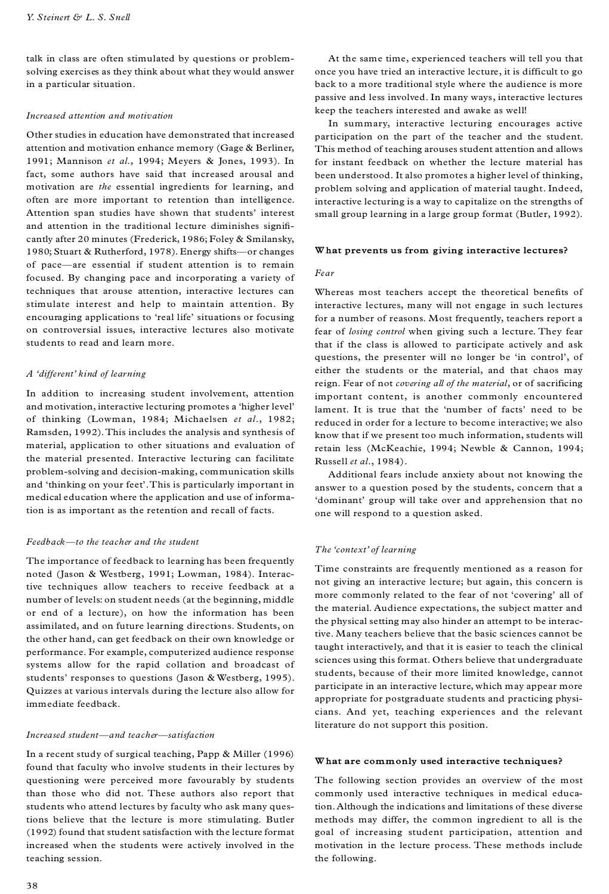talk in class are often stimulated by questions or problemsolving exercises as they think about what they would answer in a particular situation.

#### *Increased attention and motivation*

Other studies in education have demonstrated that increased attention and motivation enhance memory (Gage & Berliner, 1991; Mannison *et al*., 1994; Meyers & Jones, 1993). In fact, some authors have said that increased arousal and motivation are *the* essential ingredients for learning, and often are more important to retention than intelligence. Attention span studies have shown that students' interest and attention in the traditional lecture diminishes significantly after 20 minutes (Frederick, 1986; Foley & Smilansky, 1980; Stuart & Rutherford, 1978). Energy shifts—or changes of pace—are essential if student attention is to remain focused. By changing pace and incorporating a variety of techniques that arouse attention, interactive lectures can stimulate interest and help to maintain attention. By encouraging applications to 'real life' situations or focusing on controversial issues, interactive lectures also motivate students to read and learn more.

#### *A `different' kind of learning*

In addition to increasing student involvement, attention and motivation, interactive lecturing promotes a 'higher level' of thinking (Lowman, 1984; Michaelsen *et al*., 1982; Ramsden, 1992).This includes the analysis and synthesis of material, application to other situations and evaluation of the material presented. Interactive lecturing can facilitate problem-solving and decision-making, communication skills and 'thinking on your feet'. This is particularly important in medical education where the application and use of information is as important as the retention and recall of facts.

# *FeedbackÐto the teacher and the student*

The importance of feedback to learning has been frequently noted (Jason & Westberg, 1991; Lowman, 1984). Interactive techniques allow teachers to receive feedback at a number of levels: on student needs (at the beginning, middle or end of a lecture), on how the information has been assimilated, and on future learning directions. Students, on the other hand, can get feedback on their own knowledge or performance. For example, computerized audience response systems allow for the rapid collation and broadcast of students' responses to questions (Jason & Westberg, 1995). Quizzes at various intervals during the lecture also allow for immediate feedback.

# *Increased student—and teacher—satisfaction*

In a recent study of surgical teaching, Papp & Miller (1996) found that faculty who involve students in their lectures by questioning were perceived more favourably by students than those who did not. These authors also report that students who attend lectures by faculty who ask many questions believe that the lecture is more stimulating. Butler (1992) found that student satisfaction with the lecture format increased when the students were actively involved in the teaching session.

At the same time, experienced teachers will tell you that once you have tried an interactive lecture, it is difficult to go back to a more traditional style where the audience is more passive and less involved. In many ways, interactive lectures keep the teachers interested and awake as well!

In summary, interactive lecturing encourages active participation on the part of the teacher and the student. This method of teaching arouses student attention and allows for instant feedback on whether the lecture material has been understood. It also promotes a higher level of thinking, problem solving and application of material taught. Indeed, interactive lecturing is a way to capitalize on the strengths of small group learning in a large group format (Butler, 1992).

#### **What prevents us from giving interactive lectures?**

#### *Fear*

Whereas most teachers accept the theoretical benefits of interactive lectures, many will not engage in such lectures for a number of reasons. Most frequently, teachers report a fear of *losing control* when giving such a lecture. They fear that if the class is allowed to participate actively and ask questions, the presenter will no longer be `in control', of either the students or the material, and that chaos may reign. Fear of not *covering all of the material*, or of sacrificing important content, is another commonly encountered lament. It is true that the 'number of facts' need to be reduced in order for a lecture to become interactive; we also know that if we present too much information, students will retain less (McKeachie, 1994; Newble & Cannon, 1994; Russell *et al*., 1984).

Additional fears include anxiety about not knowing the answer to a question posed by the students, concern that a `dominant' group will take over and apprehension that no one will respond to a question asked.

#### *The `context' of learning*

Time constraints are frequently mentioned as a reason for not giving an interactive lecture; but again, this concern is more commonly related to the fear of not 'covering' all of the material. Audience expectations, the subject matter and the physical setting may also hinder an attempt to be interactive. Many teachers believe that the basic sciences cannot be taught interactively, and that it is easier to teach the clinical sciences using this format. Others believe that undergraduate students, because of their more limited knowledge, cannot participate in an interactive lecture, which may appear more appropriate for postgraduate students and practicing physi cians. And yet, teaching experiences and the relevant literature do not support this position.

# **What are commonly used interactive techniques?**

The following section provides an overview of the most commonly used interactive techniques in medical education. Although the indications and limitations of these diverse methods may differ, the common ingredient to all is the goal of increasing student participation, attention and motivation in the lecture process. These methods include the following.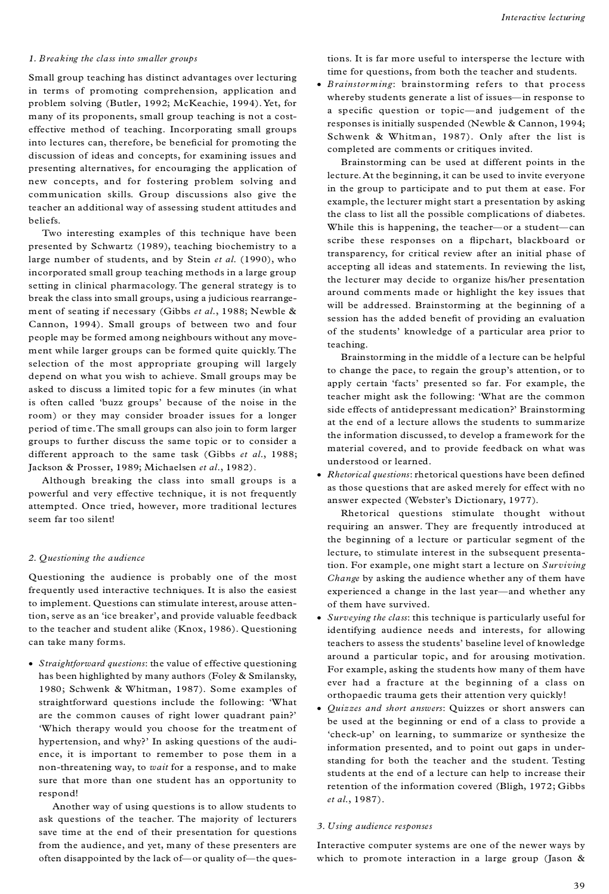#### *1. Breaking the class into smaller groups*

Small group teaching has distinct advantages over lecturing in terms of promoting comprehension, application and problem solving (Butler, 1992; McKeachie, 1994). Yet, for many of its proponents, small group teaching is not a cost effective method of teaching. Incorporating small groups into lectures can, therefore, be beneficial for promoting the discussion of ideas and concepts, for examining issues and presenting alternatives, for encouraging the application of new concepts, and for fostering problem solving and communication skills. Group discussions also give the teacher an additional way of assessing student attitudes and beliefs.

Two interesting examples of this technique have been presented by Schwartz (1989), teaching biochemistry to a large number of students, and by Stein *et al*. (1990), who incorporated small group teaching methods in a large group setting in clinical pharmacology. The general strategy is to break the class into small groups, using a judicious rearrange ment of seating if necessary (Gibbs *et al*., 1988; Newble & Cannon, 1994). Small groups of between two and four people may be formed among neighbours without any move ment while larger groups can be formed quite quickly. The selection of the most appropriate grouping will largely depend on what you wish to achieve. Small groups may be asked to discuss a limited topic for a few minutes (in what is often called `buzz groups' because of the noise in the room) or they may consider broader issues for a longer period of time.The small groups can also join to form larger groups to further discuss the same topic or to consider a different approach to the same task (Gibbs *et al*., 1988; Jackson & Prosser, 1989; Michaelsen *et al*., 1982).

Although breaking the class into small groups is a powerful and very effective technique, it is not frequently attempted. Once tried, however, more traditional lectures seem far too silent!

# *2. Questioning the audience*

Questioning the audience is probably one of the most frequently used interactive techniques. It is also the easiest to implement. Questions can stimulate interest, arouse attention, serve as an `ice breaker', and provide valuable feedback to the teacher and student alike (Knox, 1986). Questioning can take many forms.

· *Straightforward questions*: the value of effective questioning has been highlighted by many authors (Foley & Smilansky, 1980; Schwenk & Whitman, 1987). Some examples of straightforward questions include the following: `What are the common causes of right lower quadrant pain?' `Which therapy would you choose for the treatment of hypertension, and why?' In asking questions of the audi ence, it is important to remember to pose them in a non-threatening way, to *wait* for a response, and to make sure that more than one student has an opportunity to respond!

Another way of using questions is to allow students to ask questions of the teacher. The majority of lecturers save time at the end of their presentation for questions from the audience, and yet, many of these presenters are often disappointed by the lack of-or quality of-the questions. It is far more useful to intersperse the lecture with time for questions, from both the teacher and students.

· *B rainstorming*: brainstorming refers to that process whereby students generate a list of issues-in response to a specific question or topic—and judgement of the responses is initially suspended (Newble & Cannon, 1994; Schwenk & Whitman, 1987). Only after the list is completed are comments or critiques invited.

Brainstorming can be used at different points in the lecture. At the beginning, it can be used to invite everyone in the group to participate and to put them at ease. For example, the lecturer might start a presentation by asking the class to list all the possible complications of diabetes. While this is happening, the teacher—or a student—can scribe these responses on a flipchart, blackboard or transparency, for critical review after an initial phase of accepting all ideas and statements. In reviewing the list, the lecturer may decide to organize his/her presentation around comments made or highlight the key issues that will be addressed. Brainstorming at the beginning of a session has the added benefit of providing an evaluation of the students' knowledge of a particular area prior to teaching.

Brainstorming in the middle of a lecture can be helpful to change the pace, to regain the group's attention, or to apply certain 'facts' presented so far. For example, the teacher might ask the following: 'What are the common side effects of antidepressant medication?' Brainstorming at the end of a lecture allows the students to summarize the information discussed, to develop a framework for the material covered, and to provide feedback on what was understood or learned.

· *Rhetorical questions*: rhetorical questions have been defined as those questions that are asked merely for effect with no answer expected (Webster's Dictionary, 1977).

Rhetorical questions stimulate thought without requiring an answer. They are frequently introduced at the beginning of a lecture or particular segment of the lecture, to stimulate interest in the subsequent presentation. For example, one might start a lecture on *Surviving Change* by asking the audience whether any of them have experienced a change in the last year—and whether any of them have survived.

- · *Surveying the class*: this technique is particularly useful for identifying audience needs and interests, for allowing teachers to assess the students' baseline level of knowledge around a particular topic, and for arousing motivation. For example, asking the students how many of them have ever had a fracture at the beginning of a class on orthopaedic trauma gets their attention very quickly!
- · *Quizzes and short answers*: Quizzes or short answers can be used at the beginning or end of a class to provide a `check-up' on learning, to summarize or synthesize the information presented, and to point out gaps in understanding for both the teacher and the student. Testing students at the end of a lecture can help to increase their retention of the information covered (Bligh, 1972; Gibbs *et al*., 1987).

#### *3. Using audience responses*

Interactive computer systems are one of the newer ways by which to promote interaction in a large group (Jason &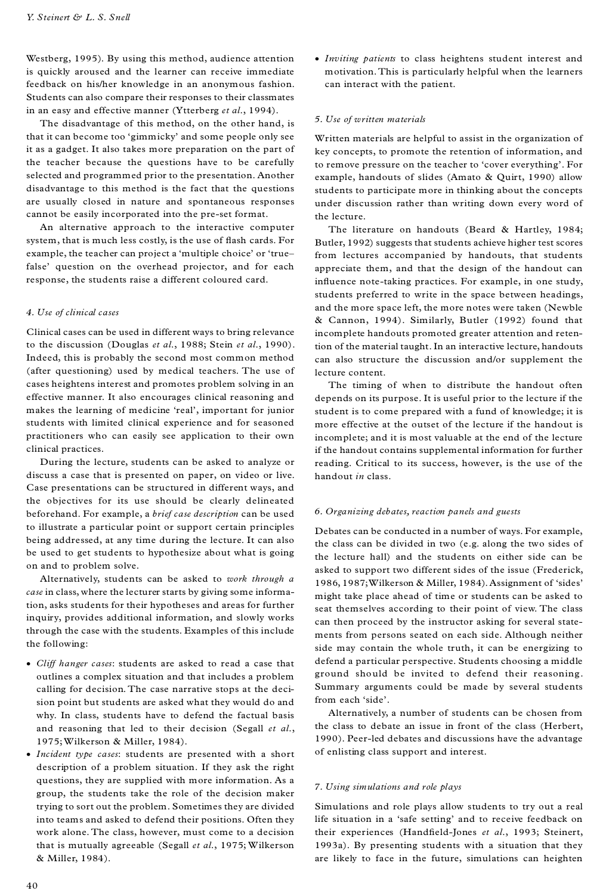Westberg, 1995). By using this method, audience attention is quickly aroused and the learner can receive immediate feedback on his/her knowledge in an anonymous fashion. Students can also compare their responses to their classmates in an easy and effective manner (Ytterberg *et al*., 1994).

The disadvantage of this method, on the other hand, is that it can become too `gimmicky' and some people only see it as a gadget. It also takes more preparation on the part of the teacher because the questions have to be carefully selected and programmed prior to the presentation. Another disadvantage to this method is the fact that the questions are usually closed in nature and spontaneous responses cannot be easily incorporated into the pre-set format.

An alternative approach to the interactive computer system, that is much less costly, is the use of flash cards. For example, the teacher can project a 'multiple choice' or 'truefalse' question on the overhead projector, and for each response, the students raise a different coloured card.

# *4. Use of clinical cases*

Clinical cases can be used in different ways to bring relevance to the discussion (Douglas *et al*., 1988; Stein *et al*., 1990). Indeed, this is probably the second most common method (after questioning) used by medical teachers. The use of cases heightens interest and promotes problem solving in an effective manner. It also encourages clinical reasoning and makes the learning of medicine 'real', important for junior students with limited clinical experience and for seasoned practitioners who can easily see application to their own clinical practices.

During the lecture, students can be asked to analyze or discuss a case that is presented on paper, on video or live. Case presentations can be structured in different ways, and the objectives for its use should be clearly delineated beforehand. For example, a *brief case description* can be used to illustrate a particular point or support certain principles being addressed, at any time during the lecture. It can also be used to get students to hypothesize about what is going on and to problem solve.

Alternatively, students can be asked to *work through a case* in class, where the lecturer starts by giving some information, asks students for their hypotheses and areas for further inquiry, provides additional information, and slowly works through the case with the students. Examples of this include the following:

- · *Cliff hanger cases*: students are asked to read a case that outlines a complex situation and that includes a problem calling for decision. The case narrative stops at the decision point but students are asked what they would do and why. In class, students have to defend the factual basis and reasoning that led to their decision (Segall *et al*., 1975;Wilkerson & Miller, 1984).
- · *Incident type cases*: students are presented with a short description of a problem situation. If they ask the right questions, they are supplied with more information. As a group, the students take the role of the decision maker trying to sort out the problem. Sometimes they are divided into teams and asked to defend their positions. Often they work alone. The class, however, must come to a decision that is mutually agreeable (Segall *et al*., 1975; Wilkerson & Miller, 1984).

· *Inviting patients* to class heightens student interest and motivation. This is particularly helpful when the learners can interact with the patient.

#### *5. Use of written materials*

Written materials are helpful to assist in the organization of key concepts, to promote the retention of information, and to remove pressure on the teacher to 'cover everything'. For example, handouts of slides (Amato & Quirt, 1990) allow students to participate more in thinking about the concepts under discussion rather than writing down every word of the lecture.

The literature on handouts (Beard & Hartley, 1984; Butler, 1992) suggests that students achieve higher test scores from lectures accompanied by handouts, that students appreciate them, and that the design of the handout can influence note-taking practices. For example, in one study, students preferred to write in the space between headings, and the more space left, the more notes were taken (Newble & Cannon, 1994). Similarly, Butler (1992) found that incomplete handouts promoted greater attention and retention of the material taught. In an interactive lecture, handouts can also structure the discussion and/or supplement the lecture content.

The timing of when to distribute the handout often depends on its purpose. It is useful prior to the lecture if the student is to come prepared with a fund of knowledge; it is more effective at the outset of the lecture if the handout is incomplete; and it is most valuable at the end of the lecture if the handout contains supplemental information for further reading. Critical to its success, however, is the use of the handout *in* class.

#### *6. Organizing debates, reaction panels and guests*

Debates can be conducted in a number of ways. For example, the class can be divided in two (e.g. along the two sides of the lecture hall) and the students on either side can be asked to support two different sides of the issue (Frederick, 1986, 1987;Wilkerson & Miller, 1984). Assignment of `sides' might take place ahead of time or students can be asked to seat themselves according to their point of view. The class can then proceed by the instructor asking for several state ments from persons seated on each side. Although neither side may contain the whole truth, it can be energizing to defend a particular perspective. Students choosing a middle ground should be invited to defend their reasoning. Summary arguments could be made by several students from each 'side'.

Alternatively, a number of students can be chosen from the class to debate an issue in front of the class (Herbert, 1990). Peer-led debates and discussions have the advantage of enlisting class support and interest.

#### *7. Using simulations and role plays*

Simulations and role plays allow students to try out a real life situation in a 'safe setting' and to receive feedback on their experiences (Handfield-Jones et al., 1993; Steinert, 1993a). By presenting students with a situation that they are likely to face in the future, simulations can heighten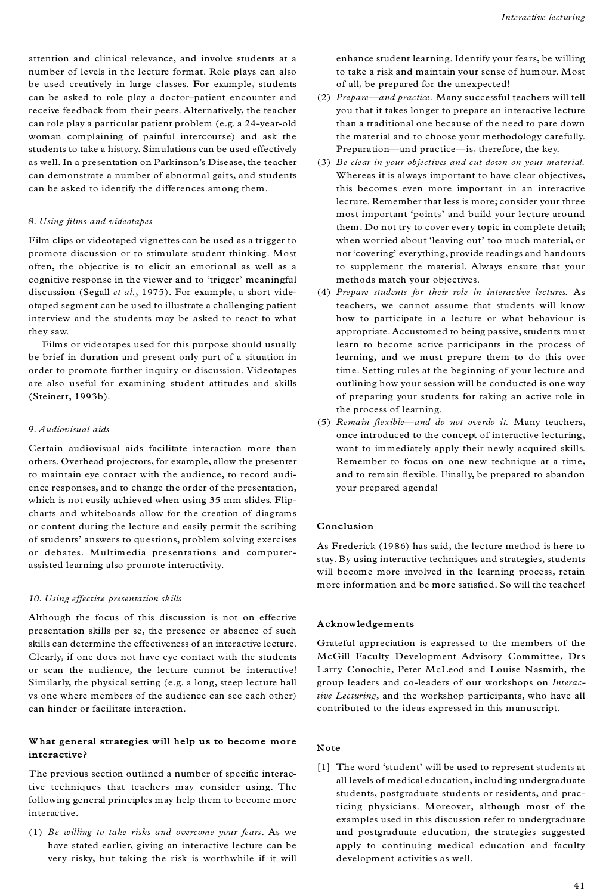attention and clinical relevance, and involve students at a number of levels in the lecture format. Role plays can also be used creatively in large classes. For example, students can be asked to role play a doctor-patient encounter and receive feedback from their peers. Alternatively, the teacher can role play a particular patient problem (e.g. a 24-year-old woman complaining of painful intercourse) and ask the students to take a history. Simulations can be used effectively as well. In a presentation on Parkinson's Disease, the teacher can demonstrate a number of abnormal gaits, and students can be asked to identify the differences among them.

# *8. Using ®lms and videotapes*

Film clips or videotaped vignettes can be used as a trigger to promote discussion or to stimulate student thinking. Most often, the objective is to elicit an emotional as well as a cognitive response in the viewer and to 'trigger' meaningful discussion (Segall *et al*., 1975). For example, a short vide otaped segment can be used to illustrate a challenging patient interview and the students may be asked to react to what they saw.

Films or videotapes used for this purpose should usually be brief in duration and present only part of a situation in order to promote further inquiry or discussion. Videotapes are also useful for examining student attitudes and skills (Steinert, 1993b).

# *9. Audiovisual aids*

Certain audiovisual aids facilitate interaction more than others. Overhead projectors, for example, allow the presenter to maintain eye contact with the audience, to record audi ence responses, and to change the order of the presentation, which is not easily achieved when using 35 mm slides. Flip charts and whiteboards allow for the creation of diagrams or content during the lecture and easily permit the scribing of students' answers to questions, problem solving exercises or debates. Multimedia presentations and computer assisted learning also promote interactivity.

#### *10. Using effective presentation skills*

Although the focus of this discussion is not on effective presentation skills per se, the presence or absence of such skills can determine the effectiveness of an interactive lecture. Clearly, if one does not have eye contact with the students or scan the audience, the lecture cannot be interactive! Similarly, the physical setting (e.g. a long, steep lecture hall vs one where members of the audience can see each other) can hinder or facilitate interaction.

# **What general strategies will help us to become more interactive?**

The previous section outlined a number of specific interactive techniques that teachers may consider using. The following general principles may help them to become more interactive.

(1) *Be willing to take risks and overcome your fears*. As we have stated earlier, giving an interactive lecture can be very risky, but taking the risk is worthwhile if it will enhance student learning. Identify your fears, be willing to take a risk and maintain your sense of humour. Most of all, be prepared for the unexpected!

- (2) Prepare—and practice. Many successful teachers will tell you that it takes longer to prepare an interactive lecture than a traditional one because of the need to pare down the material and to choose your methodology carefully. Preparation—and practice—is, therefore, the key.
- (3) *Be clear in your objectives and cut down on your material.* Whereas it is always important to have clear objectives, this becomes even more important in an interactive lecture. Remember that less is more; consider your three most important `points' and build your lecture around them. Do not try to cover every topic in complete detail; when worried about 'leaving out' too much material, or not 'covering' everything, provide readings and handouts to supplement the material. Always ensure that your methods match your objectives.
- (4) *Prepare students for their role in interactive lectures.* As teachers, we cannot assume that students will know how to participate in a lecture or what behaviour is appropriate. Accustomed to being passive, students must learn to become active participants in the process of learning, and we must prepare them to do this over time. Setting rules at the beginning of your lecture and outlining how your session will be conducted is one way of preparing your students for taking an active role in the process of learning.
- (5) *Remain flexible—and do not overdo it.* Many teachers, once introduced to the concept of interactive lecturing, want to immediately apply their newly acquired skills. Remember to focus on one new technique at a time, and to remain flexible. Finally, be prepared to abandon your prepared agenda!

#### **Conclusion**

As Frederick (1986) has said, the lecture method is here to stay. By using interactive techniques and strategies, students will become more involved in the learning process, retain more information and be more satisfied. So will the teacher!

# **Acknowledgements**

Grateful appreciation is expressed to the members of the McGill Faculty Development Advisory Committee, Drs Larry Conochie, Peter McLeod and Louise Nasmith, the group leaders and co-leaders of our workshops on *Interactive Lecturing*, and the workshop participants, who have all contributed to the ideas expressed in this manuscript.

# **Note**

[1] The word 'student' will be used to represent students at all levels of medical education, including undergraduate students, postgraduate students or residents, and practicing physicians. Moreover, although most of the examples used in this discussion refer to undergraduate and postgraduate education, the strategies suggested apply to continuing medical education and faculty development activities as well.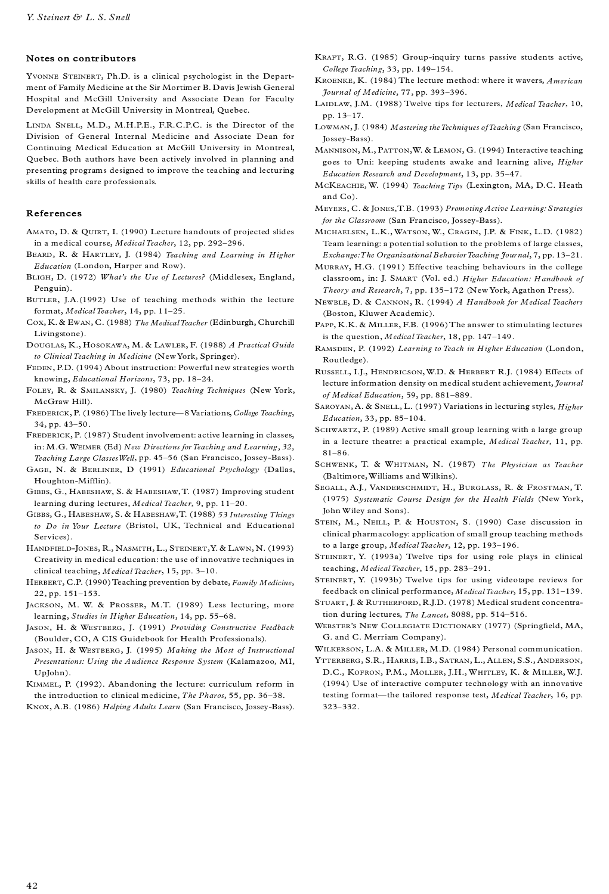#### **Notes on contributors**

YVONNE STEINERT, Ph.D. is a clinical psychologist in the Depart-<br>ment of Family Medicine at the Sir Mortimer B. Davis Jewish General Hospital and McGill University and Associate Dean for Faculty Development at McGill University in Montreal, Quebec.

LINDA SNELL, M.D., M.H.P.E., F.R.C.P.C. is the Director of the Division of General Internal Medicine and Associate Dean for Continuing Medical Education at McGill University in Montreal, Quebec. Both authors have been actively involved in planning and presenting programs designed to improve the teaching and lecturing skills of health care professionals.

#### **References**

- AMATO, D. & QUIRT, I. (1990) Lecture handouts of projected slides in a medical course, *Medical Teacher*, 12, pp. 292-296.
- BEARD , R. & HARTLEY, J. (1984) *Teaching and Learning in Higher Education* (London, Harper and Row).
- <sup>B</sup>L IGH, D. (1972) *What's the Use of Lectures?* (Middlesex, England, Penguin).
- BUTLER, J.A.(1992) Use of teaching methods within the lecture format, *Medical Teacher*, 14, pp. 11-25.
- COX, K. & EWAN, C. (1988) *The MedicalTeacher* (Edinburgh, Churchill Livingstone).
- DOUGLAS, K., HO SO KAWA, M. & LAWLER, F. (1988) *A Practical Guide to Clinical Teaching in Medicine* (New York, Springer).
- FEDEN , P.D. (1994) About instruction: Powerful new strategies worth knowing, *Educational Horizons*, 73, pp. 18-24.
- FOLEY, R. & SMILANSKY, J. (1980) *Teaching Techniques* (New York, McGraw Hill).
- FREDERICK, P. (1986) The lively lecture—8 Variations, *College Teaching*, 34, pp. 43–50.
- FREDERICK, P. (1987) Student involvement: active learning in classes, in: M.G. <sup>W</sup>E IMER (Ed) *New Directions for Teaching and Learning, 32, Teaching Large ClassesWell*, pp. 45±56 (San Francisco, Jossey-Bass).
- Feaching Large Classes Well, pp. 45-56 (San Francisco, Jossey-Bass).<br>GAGE, N. & BERLINER, D (1991) *Educational Psychology* (Dallas, Houghton-Mifflin).
- GIBBS, G., HABESHAW, S. & HABESHAW,T. (1987) Improving student learning during lectures, *Medical Teacher*, 9, pp. 11-20.
- GIBBS, G., HABESHAW, S. & HABESHAW,T. (1988) *53 Interesting Things to Do in Your Lecture* (Bristol, UK, Technical and Educational Services).
- HANDFIELD-JONES, R., NASMITH, L., STEINERT, Y. & LAWN, N. (1993) Creativity in medical education: the use of innovative techniques in clinical teaching, *Medical Teacher*, 15, pp. 3-10.
- HERBERT, C.P. (1990) Teaching prevention by debate, *Family Medicine*,  $22.$  pp.  $151-153.$
- JACKSON, M. W. & PROSSER, M.T. (1989) Less lecturing, more learning, *Studies* in Higher Education, 14, pp. 55-68.
- JASON, H. & WESTBERG, J. (1991) *Providing Constructive Feedback* (Boulder, CO, A CIS Guidebook for Health Professionals).
- JASON, H. & WESTBERG , J. (1995) *Making the Most of Instructional Presentations: Using the Audience Response System* (Kalamazoo, MI, UpJohn).
- KIMMEL, P. (1992). Abandoning the lecture: curriculum reform in the introduction to clinical medicine, *The Pharos*, 55, pp. 36-38.
- KNOX, A.B. (1986) *Helping Adults Learn* (San Francisco, Jossey-Bass).
- KRAFT, R.G. (1985) Group-inquiry turns passive students active, *College Teaching*, 33, pp. 149-154.
- KROENKE, K. (1984) The lecture method: where it wavers, *American Journal of Medicine*, 77, pp. 393-396.
- LAIDLAW, J.M. (1988) Twelve tips for lecturers, *Medical Teacher*, 10, pp. 13-17.
- LOWMAN, J. (1984) *Mastering theTechniques ofTeaching* (San Francisco, Jossey-Bass).
- MANNISON, M., PATTON, W. & LEMON, G. (1994) Interactive teaching goes to Uni: keeping students awake and learning alive, *Higher Education Research and Development*, 13, pp. 35-47.
- <sup>M</sup>C<sup>K</sup>EACH IE, W. (1994) *Teaching Tips* (Lexington, MA, D.C. Heath and Co).
- MEYERS, C. & JO NES,T.B. (1993) *Promoting Active Learning: Strategies for the Classroom* (San Francisco, Jossey-Bass).
- MICHAELSEN, L.K., WATSON, W., CRAGIN, J.P. & FINK, L.D. (1982) Team learning: a potential solution to the problems of large classes, *Exchange:The Organizational BehaviorTeaching Journal*, 7, pp. 13±21.
- MURRAY, H.G. (1991) Effective teaching behaviours in the college classroom, in: J. SMART (Vol. ed.) *Higher Education: Handbook of Theor y and Research*, 7, pp. 135±172 (New York, Agathon Press).
- NEWBLE, D. & CANNON , R. (1994) *A Handbook for Medical Teachers* (Boston, Kluwer Academic).
- PAPP, K.K. & MILLER, F.B. (1996) The answer to stimulating lectures is the question, *Medical Teacher*, 18, pp. 147-149.
- RAMSDEN, P. (1992) *Learning to Teach in Higher Education* (London, Routledge).
- RUSSELL, I.J., HENDR ICSON, W.D. & HERBERT R.J. (1984) Effects of lecture information density on medical student achievement, *Journal of Medical Education*, 59, pp. 881-889.
- SAROYAN, A. & SNELL, L. (1997) Variations in lecturing styles, *Higher Education*, 33, pp. 85-104.
- SCHWARTZ, P. (1989) Active small group learning with a large group in a lecture theatre: a practical example, *Medical Teacher*, 11, pp. 81±86.
- SCHWEN K , T. & WH ITMA N, N. (1987) *The Physician as Teacher* (Baltimore,Williams and Wilkins).
- SEGALL, A.J., VANDERSCHMIDT, H., BURGLASS, R. & FROSTMAN, T. (1975) *Systematic Course Design for the Health Fields* (New York, John Wiley and Sons).
- STEIN, M., NEILL, P. & HOUSTON, S. (1990) Case discussion in clinical pharmacology: application of small group teaching methods to a large group, *Medical Teacher*, 12, pp. 193-196.
- STEINERT, Y. (1993a) Twelve tips for using role plays in clinical teaching, *Medical Teacher*, 15, pp. 283-291.

STEINERT, Y. (1993b) Twelve tips for using videotape reviews for feedback on clinical performance, *Medical Teacher*, 15, pp. 131-139.

- STUART, J. & RUTHERFORD, R.J.D. (1978) Medical student concentration during lectures, *The Lancet*, 8088, pp. 514-516.
- WEBSTER'S NEW COLLEGIATE DICTIONARY (1977) (Springfield, MA, G. and C. Merriam Company).

WILKERSON, L.A. & MILLER, M.D. (1984) Personal communication.

YTTERBERG, S.R., HARRIS, I.B., SATRAN, L., ALLEN, S.S., ANDERSON, D.C., KOFRON, P.M., MOLLER, J.H., WHITLEY, K. & MILLER, W.J. (1994) Use of interactive computer technology with an innovative testing format—the tailored response test, *Medical Teacher*, 16, pp. 323±332.